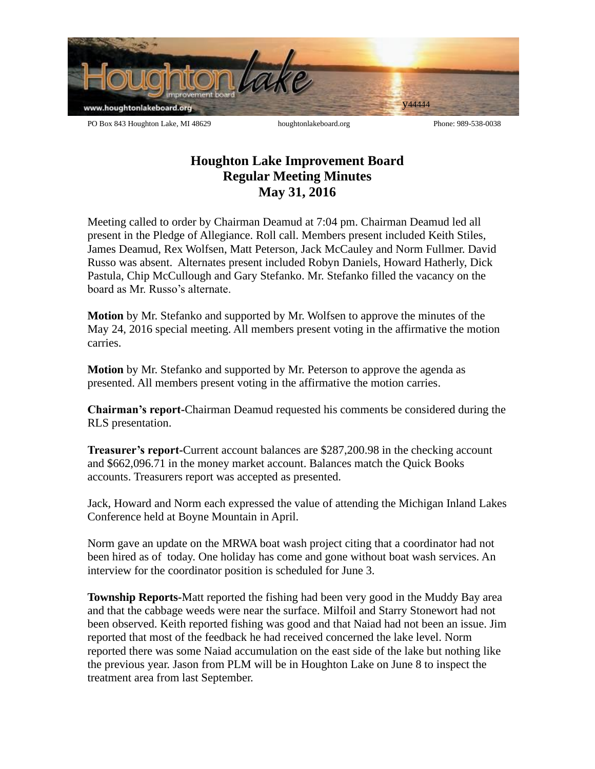

**Houghton Lake Improvement Board Regular Meeting Minutes May 31, 2016**

Meeting called to order by Chairman Deamud at 7:04 pm. Chairman Deamud led all present in the Pledge of Allegiance. Roll call. Members present included Keith Stiles, James Deamud, Rex Wolfsen, Matt Peterson, Jack McCauley and Norm Fullmer. David Russo was absent. Alternates present included Robyn Daniels, Howard Hatherly, Dick Pastula, Chip McCullough and Gary Stefanko. Mr. Stefanko filled the vacancy on the board as Mr. Russo's alternate.

**Motion** by Mr. Stefanko and supported by Mr. Wolfsen to approve the minutes of the May 24, 2016 special meeting. All members present voting in the affirmative the motion carries.

**Motion** by Mr. Stefanko and supported by Mr. Peterson to approve the agenda as presented. All members present voting in the affirmative the motion carries.

**Chairman's report-**Chairman Deamud requested his comments be considered during the RLS presentation.

**Treasurer's report-**Current account balances are \$287,200.98 in the checking account and \$662,096.71 in the money market account. Balances match the Quick Books accounts. Treasurers report was accepted as presented.

Jack, Howard and Norm each expressed the value of attending the Michigan Inland Lakes Conference held at Boyne Mountain in April.

Norm gave an update on the MRWA boat wash project citing that a coordinator had not been hired as of today. One holiday has come and gone without boat wash services. An interview for the coordinator position is scheduled for June 3.

**Township Reports-**Matt reported the fishing had been very good in the Muddy Bay area and that the cabbage weeds were near the surface. Milfoil and Starry Stonewort had not been observed. Keith reported fishing was good and that Naiad had not been an issue. Jim reported that most of the feedback he had received concerned the lake level. Norm reported there was some Naiad accumulation on the east side of the lake but nothing like the previous year. Jason from PLM will be in Houghton Lake on June 8 to inspect the treatment area from last September.